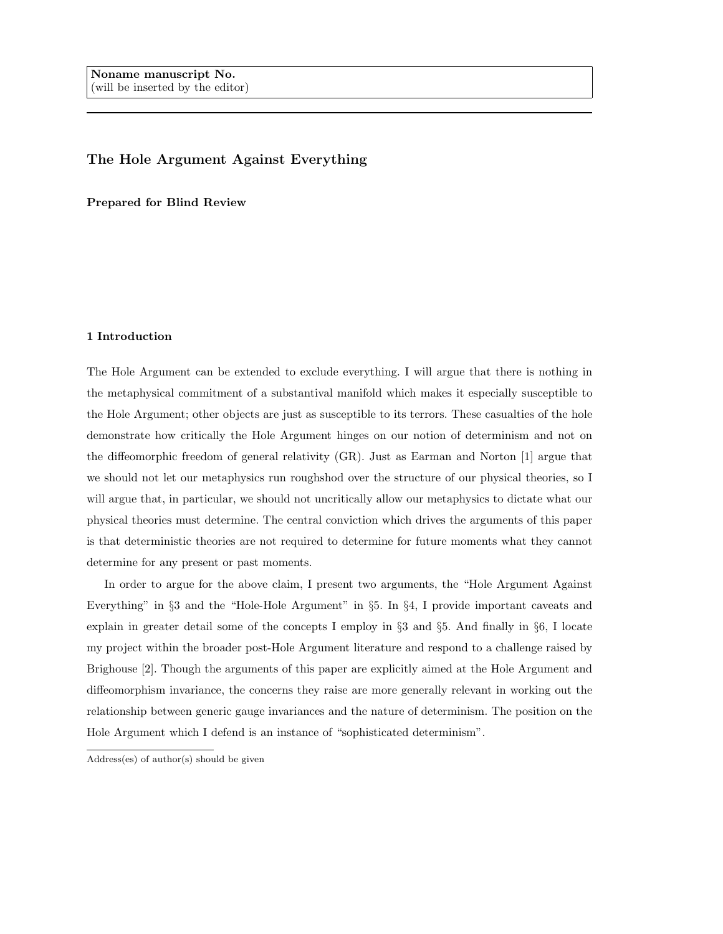# The Hole Argument Against Everything

Prepared for Blind Review

# 1 Introduction

The Hole Argument can be extended to exclude everything. I will argue that there is nothing in the metaphysical commitment of a substantival manifold which makes it especially susceptible to the Hole Argument; other objects are just as susceptible to its terrors. These casualties of the hole demonstrate how critically the Hole Argument hinges on our notion of determinism and not on the diffeomorphic freedom of general relativity (GR). Just as Earman and Norton [1] argue that we should not let our metaphysics run roughshod over the structure of our physical theories, so I will argue that, in particular, we should not uncritically allow our metaphysics to dictate what our physical theories must determine. The central conviction which drives the arguments of this paper is that deterministic theories are not required to determine for future moments what they cannot determine for any present or past moments.

In order to argue for the above claim, I present two arguments, the "Hole Argument Against Everything" in §3 and the "Hole-Hole Argument" in §5. In §4, I provide important caveats and explain in greater detail some of the concepts I employ in §3 and §5. And finally in §6, I locate my project within the broader post-Hole Argument literature and respond to a challenge raised by Brighouse [2]. Though the arguments of this paper are explicitly aimed at the Hole Argument and diffeomorphism invariance, the concerns they raise are more generally relevant in working out the relationship between generic gauge invariances and the nature of determinism. The position on the Hole Argument which I defend is an instance of "sophisticated determinism".

Address(es) of author(s) should be given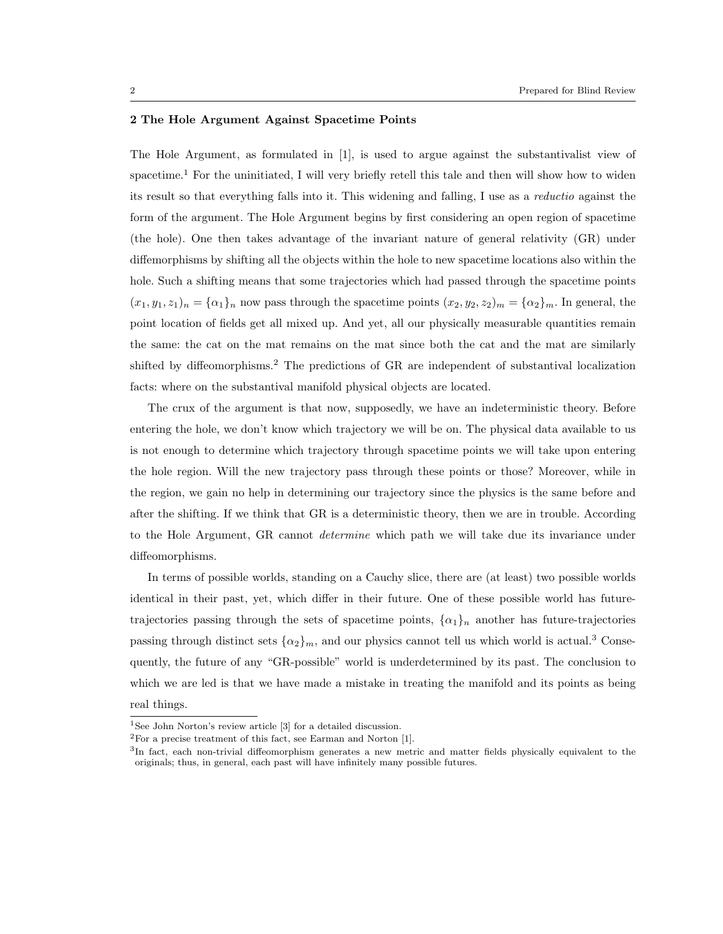#### 2 The Hole Argument Against Spacetime Points

The Hole Argument, as formulated in [1], is used to argue against the substantivalist view of spacetime.<sup>1</sup> For the uninitiated, I will very briefly retell this tale and then will show how to widen its result so that everything falls into it. This widening and falling, I use as a reductio against the form of the argument. The Hole Argument begins by first considering an open region of spacetime (the hole). One then takes advantage of the invariant nature of general relativity (GR) under diffemorphisms by shifting all the objects within the hole to new spacetime locations also within the hole. Such a shifting means that some trajectories which had passed through the spacetime points  $(x_1, y_1, z_1)_n = {\alpha_1}_n$  now pass through the spacetime points  $(x_2, y_2, z_2)_m = {\alpha_2}_m$ . In general, the point location of fields get all mixed up. And yet, all our physically measurable quantities remain the same: the cat on the mat remains on the mat since both the cat and the mat are similarly shifted by diffeomorphisms.<sup>2</sup> The predictions of GR are independent of substantival localization facts: where on the substantival manifold physical objects are located.

The crux of the argument is that now, supposedly, we have an indeterministic theory. Before entering the hole, we don't know which trajectory we will be on. The physical data available to us is not enough to determine which trajectory through spacetime points we will take upon entering the hole region. Will the new trajectory pass through these points or those? Moreover, while in the region, we gain no help in determining our trajectory since the physics is the same before and after the shifting. If we think that GR is a deterministic theory, then we are in trouble. According to the Hole Argument, GR cannot determine which path we will take due its invariance under diffeomorphisms.

In terms of possible worlds, standing on a Cauchy slice, there are (at least) two possible worlds identical in their past, yet, which differ in their future. One of these possible world has futuretrajectories passing through the sets of spacetime points,  $\{\alpha_1\}_n$  another has future-trajectories passing through distinct sets  $\{\alpha_2\}_m$ , and our physics cannot tell us which world is actual.<sup>3</sup> Consequently, the future of any "GR-possible" world is underdetermined by its past. The conclusion to which we are led is that we have made a mistake in treating the manifold and its points as being real things.

<sup>&</sup>lt;sup>1</sup>See John Norton's review article [3] for a detailed discussion.

 ${}^{2}$ For a precise treatment of this fact, see Earman and Norton [1].

<sup>&</sup>lt;sup>3</sup>In fact, each non-trivial diffeomorphism generates a new metric and matter fields physically equivalent to the originals; thus, in general, each past will have infinitely many possible futures.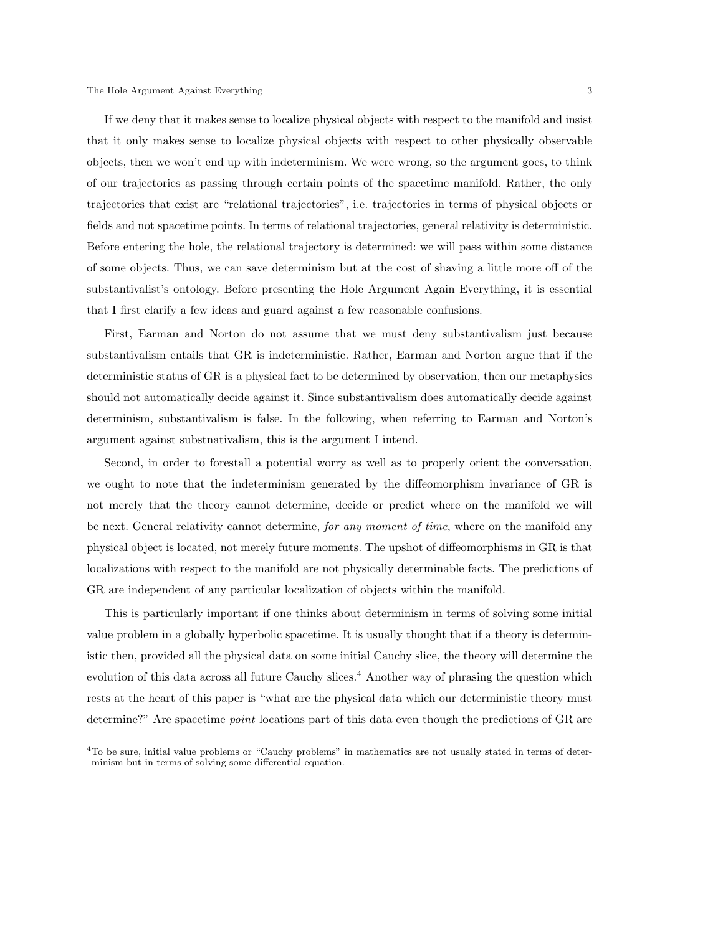If we deny that it makes sense to localize physical objects with respect to the manifold and insist that it only makes sense to localize physical objects with respect to other physically observable objects, then we won't end up with indeterminism. We were wrong, so the argument goes, to think of our trajectories as passing through certain points of the spacetime manifold. Rather, the only trajectories that exist are "relational trajectories", i.e. trajectories in terms of physical objects or fields and not spacetime points. In terms of relational trajectories, general relativity is deterministic. Before entering the hole, the relational trajectory is determined: we will pass within some distance of some objects. Thus, we can save determinism but at the cost of shaving a little more off of the substantivalist's ontology. Before presenting the Hole Argument Again Everything, it is essential that I first clarify a few ideas and guard against a few reasonable confusions.

First, Earman and Norton do not assume that we must deny substantivalism just because substantivalism entails that GR is indeterministic. Rather, Earman and Norton argue that if the deterministic status of GR is a physical fact to be determined by observation, then our metaphysics should not automatically decide against it. Since substantivalism does automatically decide against determinism, substantivalism is false. In the following, when referring to Earman and Norton's argument against substnativalism, this is the argument I intend.

Second, in order to forestall a potential worry as well as to properly orient the conversation, we ought to note that the indeterminism generated by the diffeomorphism invariance of GR is not merely that the theory cannot determine, decide or predict where on the manifold we will be next. General relativity cannot determine, for any moment of time, where on the manifold any physical object is located, not merely future moments. The upshot of diffeomorphisms in GR is that localizations with respect to the manifold are not physically determinable facts. The predictions of GR are independent of any particular localization of objects within the manifold.

This is particularly important if one thinks about determinism in terms of solving some initial value problem in a globally hyperbolic spacetime. It is usually thought that if a theory is deterministic then, provided all the physical data on some initial Cauchy slice, the theory will determine the evolution of this data across all future Cauchy slices.<sup>4</sup> Another way of phrasing the question which rests at the heart of this paper is "what are the physical data which our deterministic theory must determine?" Are spacetime *point* locations part of this data even though the predictions of GR are

 $4T<sub>0</sub>$  be sure, initial value problems or "Cauchy problems" in mathematics are not usually stated in terms of determinism but in terms of solving some differential equation.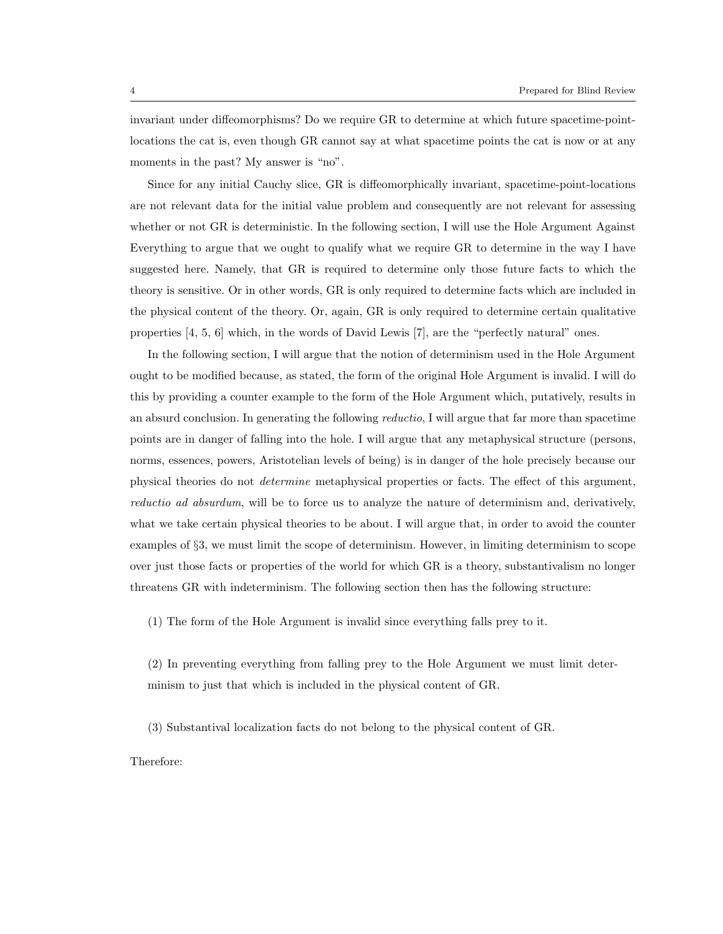invariant under diffeomorphisms? Do we require GR to determine at which future spacetime-pointlocations the cat is, even though GR cannot say at what spacetime points the cat is now or at any moments in the past? My answer is "no".

Since for any initial Cauchy slice, GR is diffeomorphically invariant, spacetime-point-locations are not relevant data for the initial value problem and consequently are not relevant for assessing whether or not GR is deterministic. In the following section, I will use the Hole Argument Against Everything to argue that we ought to qualify what we require GR to determine in the way I have suggested here. Namely, that GR is required to determine only those future facts to which the theory is sensitive. Or in other words, GR is only required to determine facts which are included in the physical content of the theory. Or, again, GR is only required to determine certain qualitative properties [4, 5, 6] which, in the words of David Lewis [7], are the "perfectly natural" ones.

In the following section, I will argue that the notion of determinism used in the Hole Argument ought to be modified because, as stated, the form of the original Hole Argument is invalid. I will do this by providing a counter example to the form of the Hole Argument which, putatively, results in an absurd conclusion. In generating the following *reductio*, I will argue that far more than spacetime points are in danger of falling into the hole. I will argue that any metaphysical structure (persons, norms, essences, powers, Aristotelian levels of being) is in danger of the hole precisely because our physical theories do not determine metaphysical properties or facts. The effect of this argument, reductio ad absurdum, will be to force us to analyze the nature of determinism and, derivatively, what we take certain physical theories to be about. I will argue that, in order to avoid the counter examples of §3, we must limit the scope of determinism. However, in limiting determinism to scope over just those facts or properties of the world for which GR is a theory, substantivalism no longer threatens GR with indeterminism. The following section then has the following structure:

(1) The form of the Hole Argument is invalid since everything falls prey to it.

(2) In preventing everything from falling prey to the Hole Argument we must limit determinism to just that which is included in the physical content of GR.

(3) Substantival localization facts do not belong to the physical content of GR.

Therefore: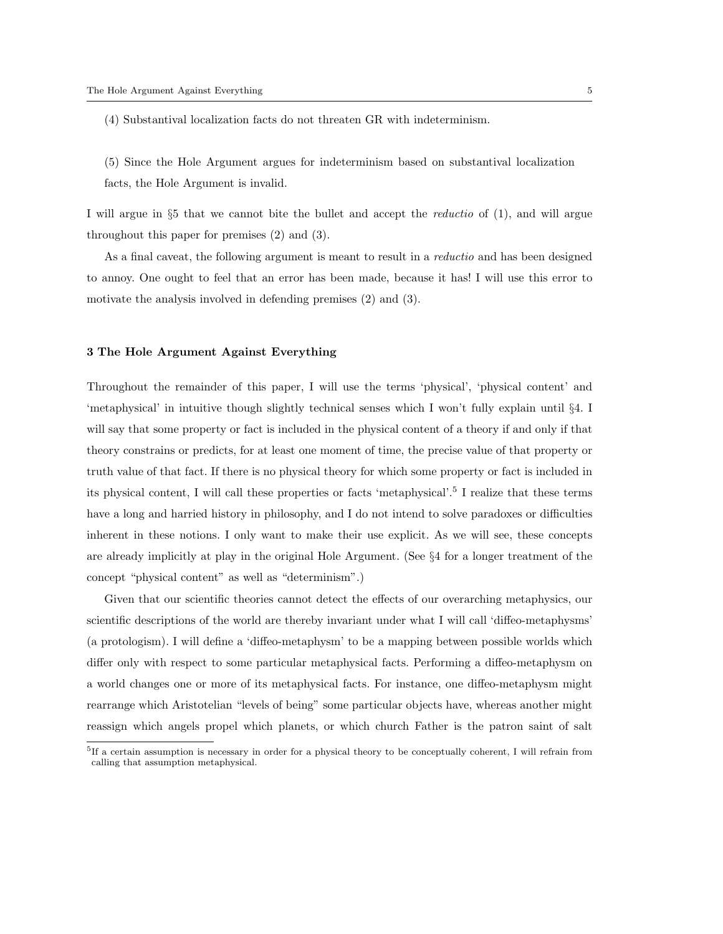(4) Substantival localization facts do not threaten GR with indeterminism.

(5) Since the Hole Argument argues for indeterminism based on substantival localization facts, the Hole Argument is invalid.

I will argue in §5 that we cannot bite the bullet and accept the reductio of (1), and will argue throughout this paper for premises (2) and (3).

As a final caveat, the following argument is meant to result in a reductio and has been designed to annoy. One ought to feel that an error has been made, because it has! I will use this error to motivate the analysis involved in defending premises (2) and (3).

## 3 The Hole Argument Against Everything

Throughout the remainder of this paper, I will use the terms 'physical', 'physical content' and 'metaphysical' in intuitive though slightly technical senses which I won't fully explain until §4. I will say that some property or fact is included in the physical content of a theory if and only if that theory constrains or predicts, for at least one moment of time, the precise value of that property or truth value of that fact. If there is no physical theory for which some property or fact is included in its physical content, I will call these properties or facts 'metaphysical'.<sup>5</sup> I realize that these terms have a long and harried history in philosophy, and I do not intend to solve paradoxes or difficulties inherent in these notions. I only want to make their use explicit. As we will see, these concepts are already implicitly at play in the original Hole Argument. (See §4 for a longer treatment of the concept "physical content" as well as "determinism".)

Given that our scientific theories cannot detect the effects of our overarching metaphysics, our scientific descriptions of the world are thereby invariant under what I will call 'diffeo-metaphysms' (a protologism). I will define a 'diffeo-metaphysm' to be a mapping between possible worlds which differ only with respect to some particular metaphysical facts. Performing a diffeo-metaphysm on a world changes one or more of its metaphysical facts. For instance, one diffeo-metaphysm might rearrange which Aristotelian "levels of being" some particular objects have, whereas another might reassign which angels propel which planets, or which church Father is the patron saint of salt

<sup>&</sup>lt;sup>5</sup>If a certain assumption is necessary in order for a physical theory to be conceptually coherent, I will refrain from calling that assumption metaphysical.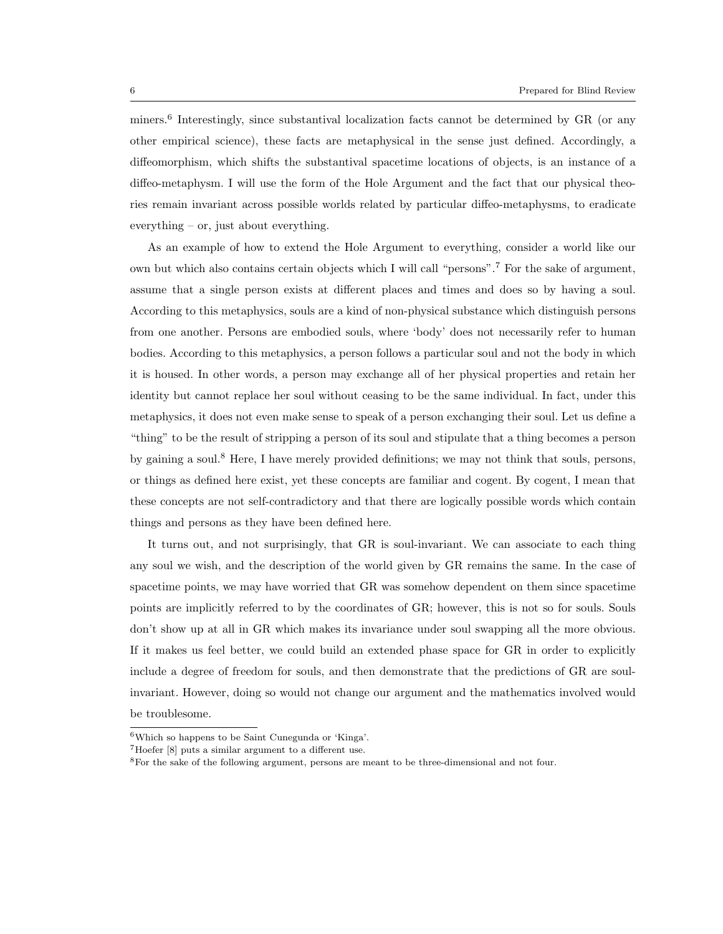miners.<sup>6</sup> Interestingly, since substantival localization facts cannot be determined by GR (or any other empirical science), these facts are metaphysical in the sense just defined. Accordingly, a diffeomorphism, which shifts the substantival spacetime locations of objects, is an instance of a diffeo-metaphysm. I will use the form of the Hole Argument and the fact that our physical theories remain invariant across possible worlds related by particular diffeo-metaphysms, to eradicate everything – or, just about everything.

As an example of how to extend the Hole Argument to everything, consider a world like our own but which also contains certain objects which I will call "persons".<sup>7</sup> For the sake of argument, assume that a single person exists at different places and times and does so by having a soul. According to this metaphysics, souls are a kind of non-physical substance which distinguish persons from one another. Persons are embodied souls, where 'body' does not necessarily refer to human bodies. According to this metaphysics, a person follows a particular soul and not the body in which it is housed. In other words, a person may exchange all of her physical properties and retain her identity but cannot replace her soul without ceasing to be the same individual. In fact, under this metaphysics, it does not even make sense to speak of a person exchanging their soul. Let us define a "thing" to be the result of stripping a person of its soul and stipulate that a thing becomes a person by gaining a soul.<sup>8</sup> Here, I have merely provided definitions; we may not think that souls, persons, or things as defined here exist, yet these concepts are familiar and cogent. By cogent, I mean that these concepts are not self-contradictory and that there are logically possible words which contain things and persons as they have been defined here.

It turns out, and not surprisingly, that GR is soul-invariant. We can associate to each thing any soul we wish, and the description of the world given by GR remains the same. In the case of spacetime points, we may have worried that GR was somehow dependent on them since spacetime points are implicitly referred to by the coordinates of GR; however, this is not so for souls. Souls don't show up at all in GR which makes its invariance under soul swapping all the more obvious. If it makes us feel better, we could build an extended phase space for GR in order to explicitly include a degree of freedom for souls, and then demonstrate that the predictions of GR are soulinvariant. However, doing so would not change our argument and the mathematics involved would be troublesome.

 $^6\rm{Which}$  so happens to be Saint Cunegunda or 'Kinga'.

<sup>7</sup>Hoefer [8] puts a similar argument to a different use.

<sup>8</sup>For the sake of the following argument, persons are meant to be three-dimensional and not four.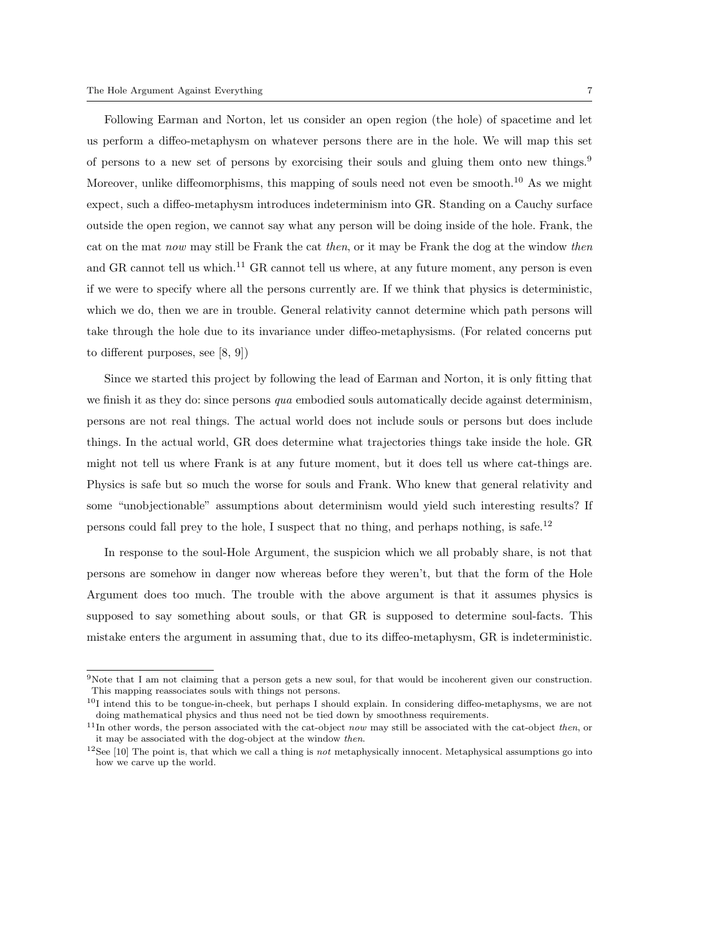Following Earman and Norton, let us consider an open region (the hole) of spacetime and let us perform a diffeo-metaphysm on whatever persons there are in the hole. We will map this set of persons to a new set of persons by exorcising their souls and gluing them onto new things.<sup>9</sup> Moreover, unlike diffeomorphisms, this mapping of souls need not even be smooth.<sup>10</sup> As we might expect, such a diffeo-metaphysm introduces indeterminism into GR. Standing on a Cauchy surface outside the open region, we cannot say what any person will be doing inside of the hole. Frank, the cat on the mat now may still be Frank the cat then, or it may be Frank the dog at the window then and GR cannot tell us which.<sup>11</sup> GR cannot tell us where, at any future moment, any person is even if we were to specify where all the persons currently are. If we think that physics is deterministic, which we do, then we are in trouble. General relativity cannot determine which path persons will take through the hole due to its invariance under diffeo-metaphysisms. (For related concerns put to different purposes, see [8, 9])

Since we started this project by following the lead of Earman and Norton, it is only fitting that we finish it as they do: since persons  $qua$  embodied souls automatically decide against determinism, persons are not real things. The actual world does not include souls or persons but does include things. In the actual world, GR does determine what trajectories things take inside the hole. GR might not tell us where Frank is at any future moment, but it does tell us where cat-things are. Physics is safe but so much the worse for souls and Frank. Who knew that general relativity and some "unobjectionable" assumptions about determinism would yield such interesting results? If persons could fall prey to the hole, I suspect that no thing, and perhaps nothing, is safe.<sup>12</sup>

In response to the soul-Hole Argument, the suspicion which we all probably share, is not that persons are somehow in danger now whereas before they weren't, but that the form of the Hole Argument does too much. The trouble with the above argument is that it assumes physics is supposed to say something about souls, or that GR is supposed to determine soul-facts. This mistake enters the argument in assuming that, due to its diffeo-metaphysm, GR is indeterministic.

<sup>9</sup>Note that I am not claiming that a person gets a new soul, for that would be incoherent given our construction. This mapping reassociates souls with things not persons.

 $10I$  intend this to be tongue-in-cheek, but perhaps I should explain. In considering diffeo-metaphysms, we are not doing mathematical physics and thus need not be tied down by smoothness requirements.

 $11$ In other words, the person associated with the cat-object now may still be associated with the cat-object then, or it may be associated with the dog-object at the window then.

 $12$ See [10] The point is, that which we call a thing is not metaphysically innocent. Metaphysical assumptions go into how we carve up the world.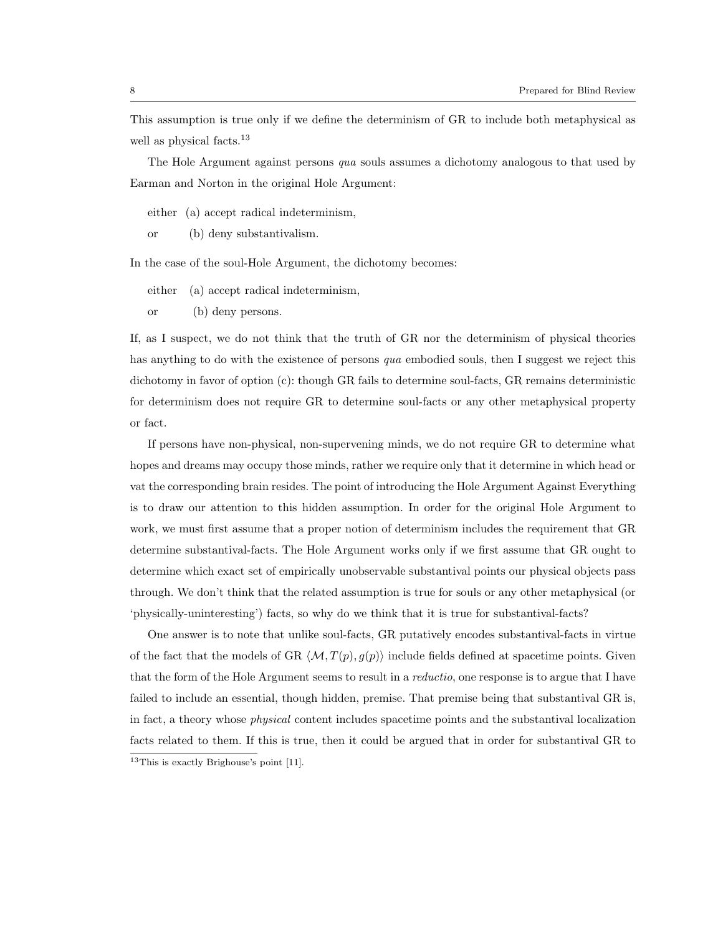This assumption is true only if we define the determinism of GR to include both metaphysical as well as physical facts.<sup>13</sup>

The Hole Argument against persons qua souls assumes a dichotomy analogous to that used by Earman and Norton in the original Hole Argument:

either (a) accept radical indeterminism,

or (b) deny substantivalism.

In the case of the soul-Hole Argument, the dichotomy becomes:

either (a) accept radical indeterminism,

or (b) deny persons.

If, as I suspect, we do not think that the truth of GR nor the determinism of physical theories has anything to do with the existence of persons qua embodied souls, then I suggest we reject this dichotomy in favor of option (c): though GR fails to determine soul-facts, GR remains deterministic for determinism does not require GR to determine soul-facts or any other metaphysical property or fact.

If persons have non-physical, non-supervening minds, we do not require GR to determine what hopes and dreams may occupy those minds, rather we require only that it determine in which head or vat the corresponding brain resides. The point of introducing the Hole Argument Against Everything is to draw our attention to this hidden assumption. In order for the original Hole Argument to work, we must first assume that a proper notion of determinism includes the requirement that GR determine substantival-facts. The Hole Argument works only if we first assume that GR ought to determine which exact set of empirically unobservable substantival points our physical objects pass through. We don't think that the related assumption is true for souls or any other metaphysical (or 'physically-uninteresting') facts, so why do we think that it is true for substantival-facts?

One answer is to note that unlike soul-facts, GR putatively encodes substantival-facts in virtue of the fact that the models of GR  $\langle M, T(p), g(p) \rangle$  include fields defined at spacetime points. Given that the form of the Hole Argument seems to result in a *reductio*, one response is to argue that I have failed to include an essential, though hidden, premise. That premise being that substantival GR is, in fact, a theory whose physical content includes spacetime points and the substantival localization facts related to them. If this is true, then it could be argued that in order for substantival GR to

<sup>13</sup>This is exactly Brighouse's point [11].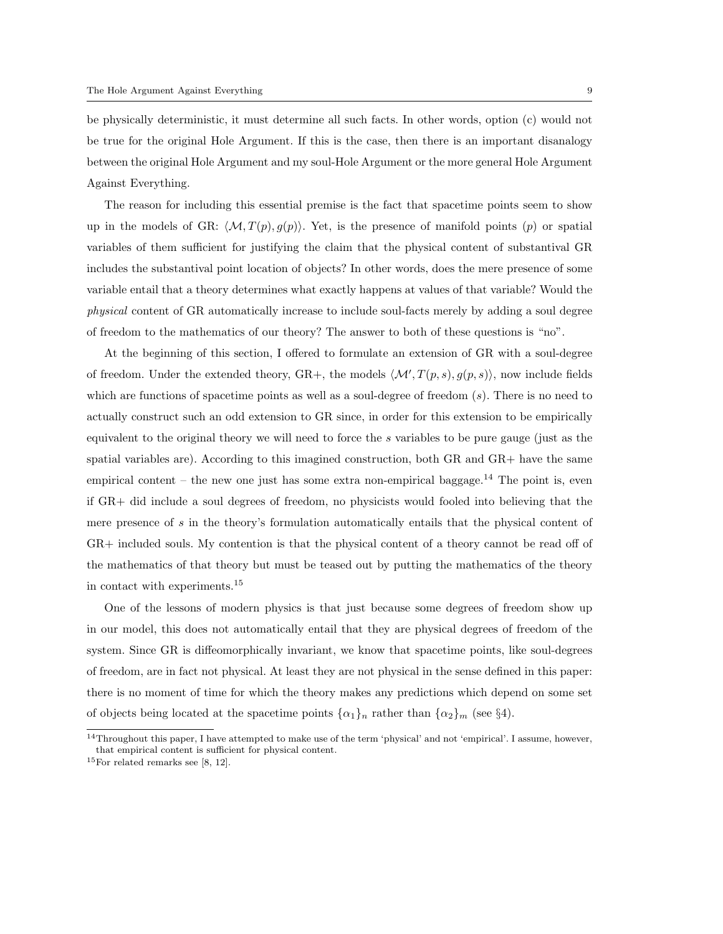be physically deterministic, it must determine all such facts. In other words, option (c) would not be true for the original Hole Argument. If this is the case, then there is an important disanalogy between the original Hole Argument and my soul-Hole Argument or the more general Hole Argument Against Everything.

The reason for including this essential premise is the fact that spacetime points seem to show up in the models of GR:  $\langle M, T(p), g(p) \rangle$ . Yet, is the presence of manifold points (p) or spatial variables of them sufficient for justifying the claim that the physical content of substantival GR includes the substantival point location of objects? In other words, does the mere presence of some variable entail that a theory determines what exactly happens at values of that variable? Would the physical content of GR automatically increase to include soul-facts merely by adding a soul degree of freedom to the mathematics of our theory? The answer to both of these questions is "no".

At the beginning of this section, I offered to formulate an extension of GR with a soul-degree of freedom. Under the extended theory, GR+, the models  $\langle \mathcal{M}', T(p, s), g(p, s) \rangle$ , now include fields which are functions of spacetime points as well as a soul-degree of freedom  $(s)$ . There is no need to actually construct such an odd extension to GR since, in order for this extension to be empirically equivalent to the original theory we will need to force the s variables to be pure gauge (just as the spatial variables are). According to this imagined construction, both GR and GR+ have the same empirical content – the new one just has some extra non-empirical baggage.<sup>14</sup> The point is, even if GR+ did include a soul degrees of freedom, no physicists would fooled into believing that the mere presence of s in the theory's formulation automatically entails that the physical content of GR+ included souls. My contention is that the physical content of a theory cannot be read off of the mathematics of that theory but must be teased out by putting the mathematics of the theory in contact with experiments.<sup>15</sup>

One of the lessons of modern physics is that just because some degrees of freedom show up in our model, this does not automatically entail that they are physical degrees of freedom of the system. Since GR is diffeomorphically invariant, we know that spacetime points, like soul-degrees of freedom, are in fact not physical. At least they are not physical in the sense defined in this paper: there is no moment of time for which the theory makes any predictions which depend on some set of objects being located at the spacetime points  $\{\alpha_1\}_n$  rather than  $\{\alpha_2\}_m$  (see §4).

 $14$ Throughout this paper, I have attempted to make use of the term 'physical' and not 'empirical'. I assume, however, that empirical content is sufficient for physical content.

 $15$ For related remarks see [8, 12].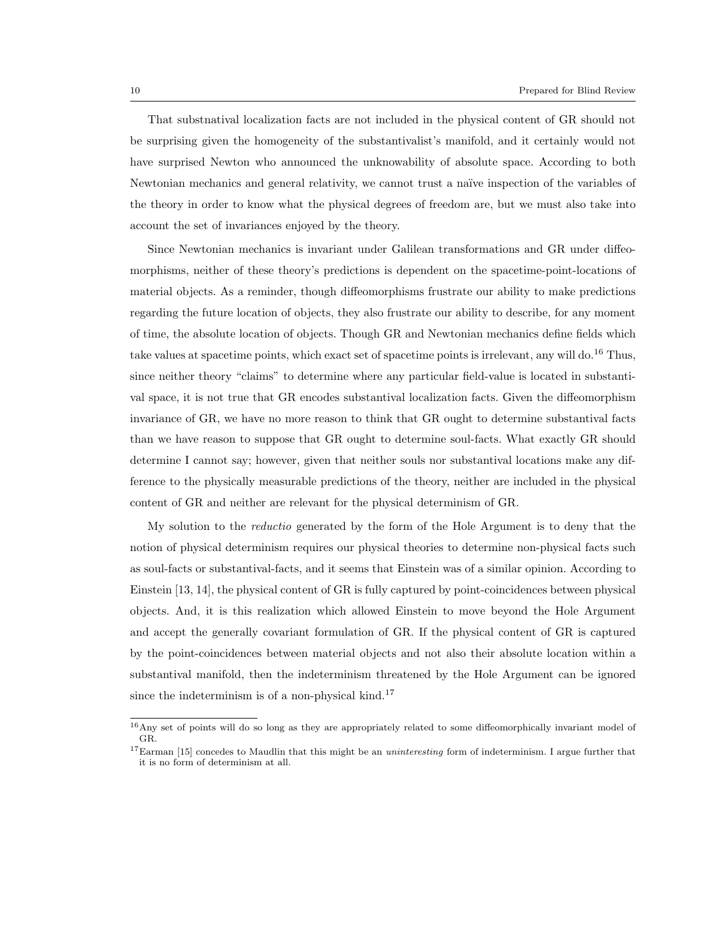That substnatival localization facts are not included in the physical content of GR should not be surprising given the homogeneity of the substantivalist's manifold, and it certainly would not have surprised Newton who announced the unknowability of absolute space. According to both Newtonian mechanics and general relativity, we cannot trust a naïve inspection of the variables of the theory in order to know what the physical degrees of freedom are, but we must also take into account the set of invariances enjoyed by the theory.

Since Newtonian mechanics is invariant under Galilean transformations and GR under diffeomorphisms, neither of these theory's predictions is dependent on the spacetime-point-locations of material objects. As a reminder, though diffeomorphisms frustrate our ability to make predictions regarding the future location of objects, they also frustrate our ability to describe, for any moment of time, the absolute location of objects. Though GR and Newtonian mechanics define fields which take values at spacetime points, which exact set of spacetime points is irrelevant, any will do.<sup>16</sup> Thus, since neither theory "claims" to determine where any particular field-value is located in substantival space, it is not true that GR encodes substantival localization facts. Given the diffeomorphism invariance of GR, we have no more reason to think that GR ought to determine substantival facts than we have reason to suppose that GR ought to determine soul-facts. What exactly GR should determine I cannot say; however, given that neither souls nor substantival locations make any difference to the physically measurable predictions of the theory, neither are included in the physical content of GR and neither are relevant for the physical determinism of GR.

My solution to the reductio generated by the form of the Hole Argument is to deny that the notion of physical determinism requires our physical theories to determine non-physical facts such as soul-facts or substantival-facts, and it seems that Einstein was of a similar opinion. According to Einstein [13, 14], the physical content of GR is fully captured by point-coincidences between physical objects. And, it is this realization which allowed Einstein to move beyond the Hole Argument and accept the generally covariant formulation of GR. If the physical content of GR is captured by the point-coincidences between material objects and not also their absolute location within a substantival manifold, then the indeterminism threatened by the Hole Argument can be ignored since the indeterminism is of a non-physical kind.<sup>17</sup>

<sup>&</sup>lt;sup>16</sup>Any set of points will do so long as they are appropriately related to some diffeomorphically invariant model of GR.

<sup>&</sup>lt;sup>17</sup>Earman [15] concedes to Maudlin that this might be an *uninteresting* form of indeterminism. I argue further that it is no form of determinism at all.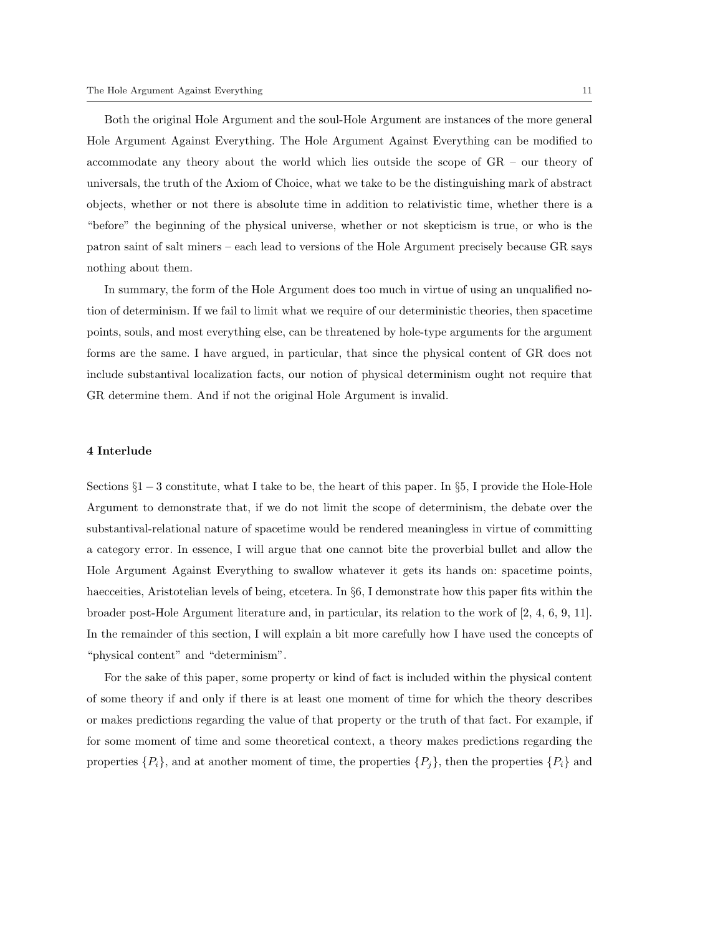Both the original Hole Argument and the soul-Hole Argument are instances of the more general Hole Argument Against Everything. The Hole Argument Against Everything can be modified to accommodate any theory about the world which lies outside the scope of GR – our theory of universals, the truth of the Axiom of Choice, what we take to be the distinguishing mark of abstract objects, whether or not there is absolute time in addition to relativistic time, whether there is a "before" the beginning of the physical universe, whether or not skepticism is true, or who is the patron saint of salt miners – each lead to versions of the Hole Argument precisely because GR says nothing about them.

In summary, the form of the Hole Argument does too much in virtue of using an unqualified notion of determinism. If we fail to limit what we require of our deterministic theories, then spacetime points, souls, and most everything else, can be threatened by hole-type arguments for the argument forms are the same. I have argued, in particular, that since the physical content of GR does not include substantival localization facts, our notion of physical determinism ought not require that GR determine them. And if not the original Hole Argument is invalid.

#### 4 Interlude

Sections §1 − 3 constitute, what I take to be, the heart of this paper. In §5, I provide the Hole-Hole Argument to demonstrate that, if we do not limit the scope of determinism, the debate over the substantival-relational nature of spacetime would be rendered meaningless in virtue of committing a category error. In essence, I will argue that one cannot bite the proverbial bullet and allow the Hole Argument Against Everything to swallow whatever it gets its hands on: spacetime points, haecceities, Aristotelian levels of being, etcetera. In §6, I demonstrate how this paper fits within the broader post-Hole Argument literature and, in particular, its relation to the work of [2, 4, 6, 9, 11]. In the remainder of this section, I will explain a bit more carefully how I have used the concepts of "physical content" and "determinism".

For the sake of this paper, some property or kind of fact is included within the physical content of some theory if and only if there is at least one moment of time for which the theory describes or makes predictions regarding the value of that property or the truth of that fact. For example, if for some moment of time and some theoretical context, a theory makes predictions regarding the properties  $\{P_i\}$ , and at another moment of time, the properties  $\{P_j\}$ , then the properties  $\{P_i\}$  and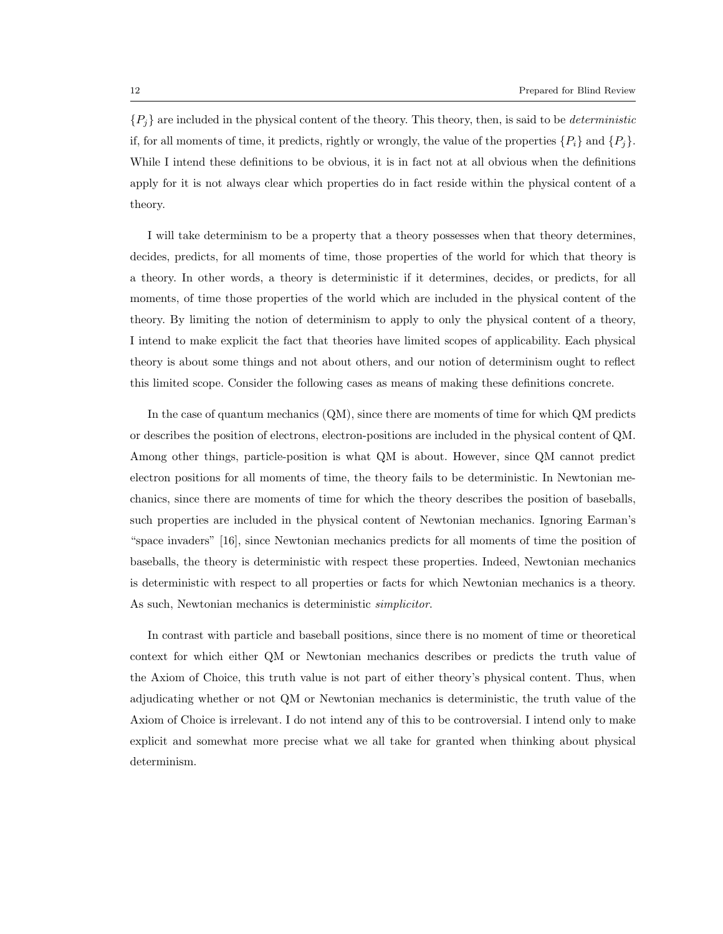${P_i}$  are included in the physical content of the theory. This theory, then, is said to be *deterministic* if, for all moments of time, it predicts, rightly or wrongly, the value of the properties  $\{P_i\}$  and  $\{P_j\}$ . While I intend these definitions to be obvious, it is in fact not at all obvious when the definitions apply for it is not always clear which properties do in fact reside within the physical content of a theory.

I will take determinism to be a property that a theory possesses when that theory determines, decides, predicts, for all moments of time, those properties of the world for which that theory is a theory. In other words, a theory is deterministic if it determines, decides, or predicts, for all moments, of time those properties of the world which are included in the physical content of the theory. By limiting the notion of determinism to apply to only the physical content of a theory, I intend to make explicit the fact that theories have limited scopes of applicability. Each physical theory is about some things and not about others, and our notion of determinism ought to reflect this limited scope. Consider the following cases as means of making these definitions concrete.

In the case of quantum mechanics (QM), since there are moments of time for which QM predicts or describes the position of electrons, electron-positions are included in the physical content of QM. Among other things, particle-position is what QM is about. However, since QM cannot predict electron positions for all moments of time, the theory fails to be deterministic. In Newtonian mechanics, since there are moments of time for which the theory describes the position of baseballs, such properties are included in the physical content of Newtonian mechanics. Ignoring Earman's "space invaders" [16], since Newtonian mechanics predicts for all moments of time the position of baseballs, the theory is deterministic with respect these properties. Indeed, Newtonian mechanics is deterministic with respect to all properties or facts for which Newtonian mechanics is a theory. As such, Newtonian mechanics is deterministic simplicitor.

In contrast with particle and baseball positions, since there is no moment of time or theoretical context for which either QM or Newtonian mechanics describes or predicts the truth value of the Axiom of Choice, this truth value is not part of either theory's physical content. Thus, when adjudicating whether or not QM or Newtonian mechanics is deterministic, the truth value of the Axiom of Choice is irrelevant. I do not intend any of this to be controversial. I intend only to make explicit and somewhat more precise what we all take for granted when thinking about physical determinism.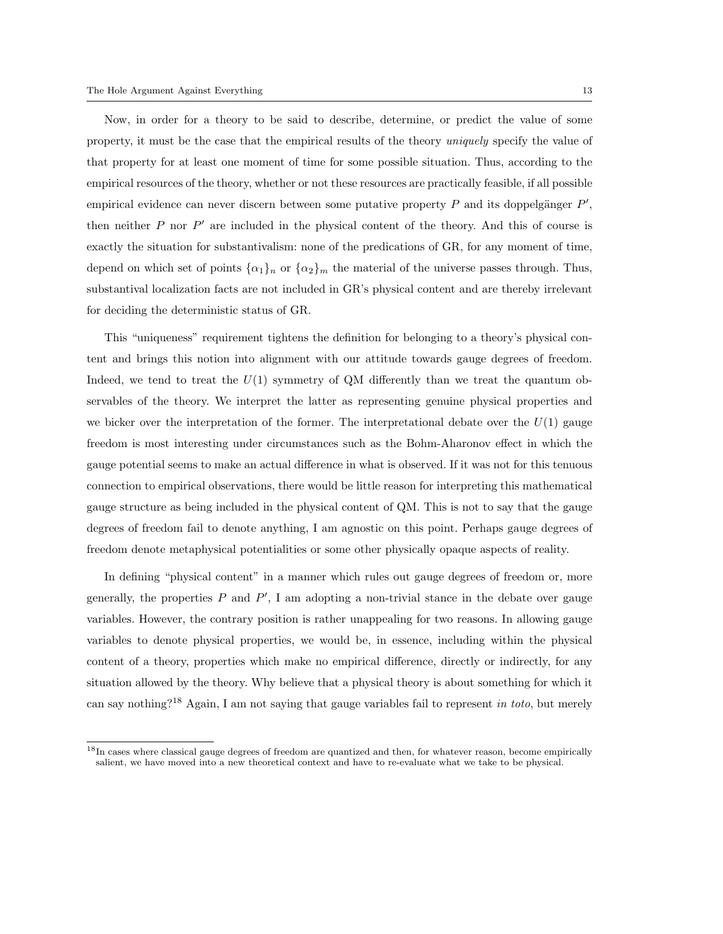Now, in order for a theory to be said to describe, determine, or predict the value of some property, it must be the case that the empirical results of the theory *uniquely* specify the value of that property for at least one moment of time for some possible situation. Thus, according to the empirical resources of the theory, whether or not these resources are practically feasible, if all possible empirical evidence can never discern between some putative property  $P$  and its doppelgänger  $P'$ , then neither  $P$  nor  $P'$  are included in the physical content of the theory. And this of course is exactly the situation for substantivalism: none of the predications of GR, for any moment of time, depend on which set of points  $\{\alpha_1\}_n$  or  $\{\alpha_2\}_m$  the material of the universe passes through. Thus, substantival localization facts are not included in GR's physical content and are thereby irrelevant for deciding the deterministic status of GR.

This "uniqueness" requirement tightens the definition for belonging to a theory's physical content and brings this notion into alignment with our attitude towards gauge degrees of freedom. Indeed, we tend to treat the  $U(1)$  symmetry of QM differently than we treat the quantum observables of the theory. We interpret the latter as representing genuine physical properties and we bicker over the interpretation of the former. The interpretational debate over the  $U(1)$  gauge freedom is most interesting under circumstances such as the Bohm-Aharonov effect in which the gauge potential seems to make an actual difference in what is observed. If it was not for this tenuous connection to empirical observations, there would be little reason for interpreting this mathematical gauge structure as being included in the physical content of QM. This is not to say that the gauge degrees of freedom fail to denote anything, I am agnostic on this point. Perhaps gauge degrees of freedom denote metaphysical potentialities or some other physically opaque aspects of reality.

In defining "physical content" in a manner which rules out gauge degrees of freedom or, more generally, the properties  $P$  and  $P'$ , I am adopting a non-trivial stance in the debate over gauge variables. However, the contrary position is rather unappealing for two reasons. In allowing gauge variables to denote physical properties, we would be, in essence, including within the physical content of a theory, properties which make no empirical difference, directly or indirectly, for any situation allowed by the theory. Why believe that a physical theory is about something for which it can say nothing?<sup>18</sup> Again, I am not saying that gauge variables fail to represent in toto, but merely

 $18$ In cases where classical gauge degrees of freedom are quantized and then, for whatever reason, become empirically salient, we have moved into a new theoretical context and have to re-evaluate what we take to be physical.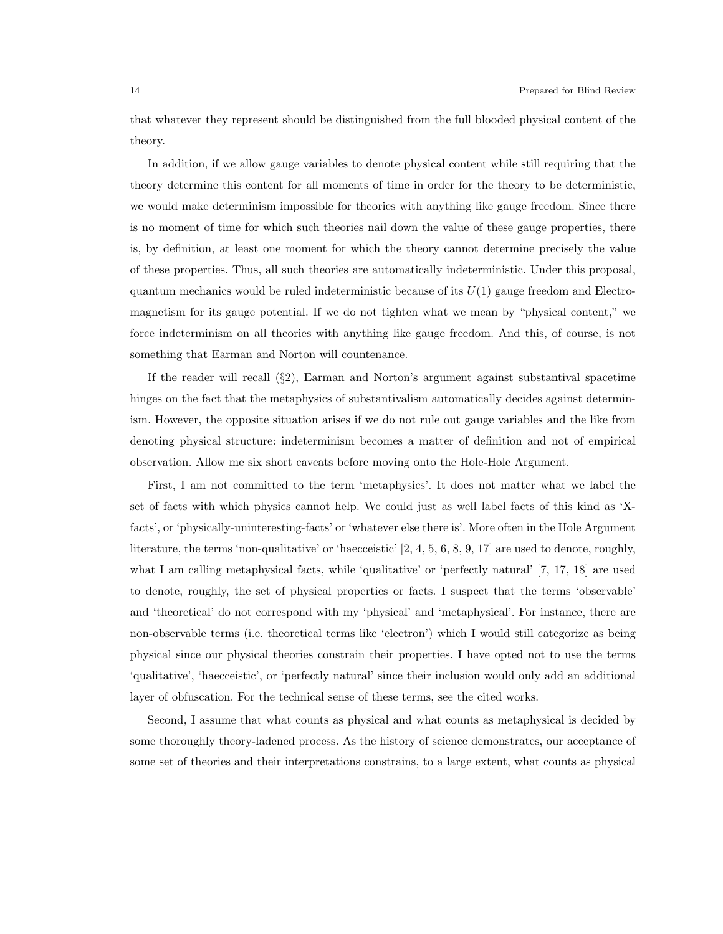that whatever they represent should be distinguished from the full blooded physical content of the theory.

In addition, if we allow gauge variables to denote physical content while still requiring that the theory determine this content for all moments of time in order for the theory to be deterministic, we would make determinism impossible for theories with anything like gauge freedom. Since there is no moment of time for which such theories nail down the value of these gauge properties, there is, by definition, at least one moment for which the theory cannot determine precisely the value of these properties. Thus, all such theories are automatically indeterministic. Under this proposal, quantum mechanics would be ruled indeterministic because of its  $U(1)$  gauge freedom and Electromagnetism for its gauge potential. If we do not tighten what we mean by "physical content," we force indeterminism on all theories with anything like gauge freedom. And this, of course, is not something that Earman and Norton will countenance.

If the reader will recall (§2), Earman and Norton's argument against substantival spacetime hinges on the fact that the metaphysics of substantivalism automatically decides against determinism. However, the opposite situation arises if we do not rule out gauge variables and the like from denoting physical structure: indeterminism becomes a matter of definition and not of empirical observation. Allow me six short caveats before moving onto the Hole-Hole Argument.

First, I am not committed to the term 'metaphysics'. It does not matter what we label the set of facts with which physics cannot help. We could just as well label facts of this kind as 'Xfacts', or 'physically-uninteresting-facts' or 'whatever else there is'. More often in the Hole Argument literature, the terms 'non-qualitative' or 'haecceistic' [2, 4, 5, 6, 8, 9, 17] are used to denote, roughly, what I am calling metaphysical facts, while 'qualitative' or 'perfectly natural' [7, 17, 18] are used to denote, roughly, the set of physical properties or facts. I suspect that the terms 'observable' and 'theoretical' do not correspond with my 'physical' and 'metaphysical'. For instance, there are non-observable terms (i.e. theoretical terms like 'electron') which I would still categorize as being physical since our physical theories constrain their properties. I have opted not to use the terms 'qualitative', 'haecceistic', or 'perfectly natural' since their inclusion would only add an additional layer of obfuscation. For the technical sense of these terms, see the cited works.

Second, I assume that what counts as physical and what counts as metaphysical is decided by some thoroughly theory-ladened process. As the history of science demonstrates, our acceptance of some set of theories and their interpretations constrains, to a large extent, what counts as physical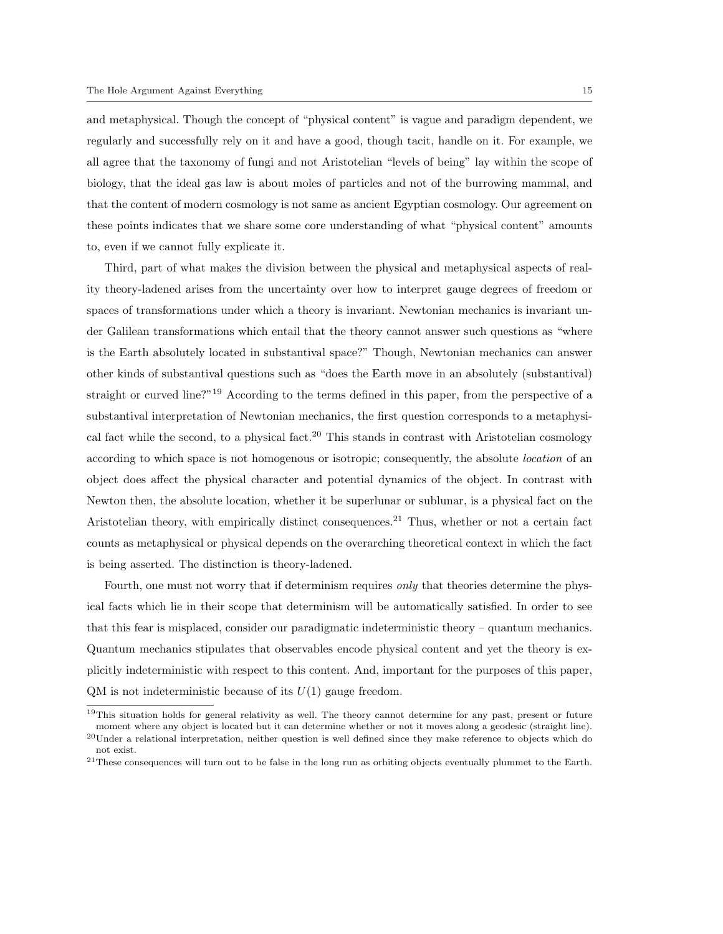and metaphysical. Though the concept of "physical content" is vague and paradigm dependent, we regularly and successfully rely on it and have a good, though tacit, handle on it. For example, we all agree that the taxonomy of fungi and not Aristotelian "levels of being" lay within the scope of biology, that the ideal gas law is about moles of particles and not of the burrowing mammal, and that the content of modern cosmology is not same as ancient Egyptian cosmology. Our agreement on these points indicates that we share some core understanding of what "physical content" amounts to, even if we cannot fully explicate it.

Third, part of what makes the division between the physical and metaphysical aspects of reality theory-ladened arises from the uncertainty over how to interpret gauge degrees of freedom or spaces of transformations under which a theory is invariant. Newtonian mechanics is invariant under Galilean transformations which entail that the theory cannot answer such questions as "where is the Earth absolutely located in substantival space?" Though, Newtonian mechanics can answer other kinds of substantival questions such as "does the Earth move in an absolutely (substantival) straight or curved line?"<sup>19</sup> According to the terms defined in this paper, from the perspective of a substantival interpretation of Newtonian mechanics, the first question corresponds to a metaphysical fact while the second, to a physical fact.<sup>20</sup> This stands in contrast with Aristotelian cosmology according to which space is not homogenous or isotropic; consequently, the absolute location of an object does affect the physical character and potential dynamics of the object. In contrast with Newton then, the absolute location, whether it be superlunar or sublunar, is a physical fact on the Aristotelian theory, with empirically distinct consequences.<sup>21</sup> Thus, whether or not a certain fact counts as metaphysical or physical depends on the overarching theoretical context in which the fact is being asserted. The distinction is theory-ladened.

Fourth, one must not worry that if determinism requires *only* that theories determine the physical facts which lie in their scope that determinism will be automatically satisfied. In order to see that this fear is misplaced, consider our paradigmatic indeterministic theory – quantum mechanics. Quantum mechanics stipulates that observables encode physical content and yet the theory is explicitly indeterministic with respect to this content. And, important for the purposes of this paper,  $QM$  is not indeterministic because of its  $U(1)$  gauge freedom.

 $19$ This situation holds for general relativity as well. The theory cannot determine for any past, present or future moment where any object is located but it can determine whether or not it moves along a geodesic (straight line).

 $^{20}$ Under a relational interpretation, neither question is well defined since they make reference to objects which do not exist.

 $21$ These consequences will turn out to be false in the long run as orbiting objects eventually plummet to the Earth.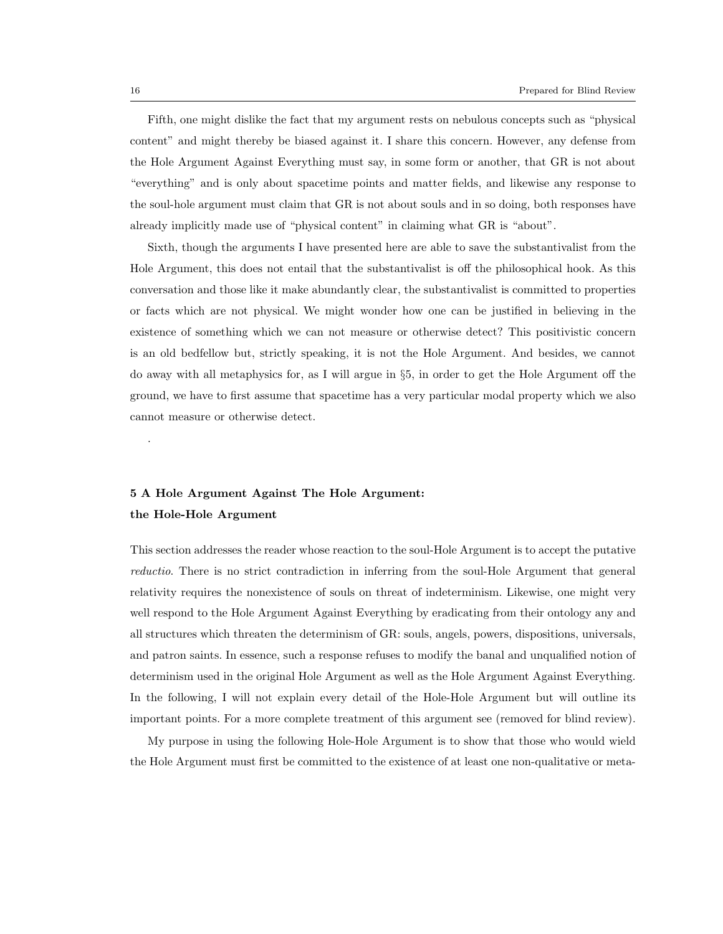Fifth, one might dislike the fact that my argument rests on nebulous concepts such as "physical content" and might thereby be biased against it. I share this concern. However, any defense from the Hole Argument Against Everything must say, in some form or another, that GR is not about "everything" and is only about spacetime points and matter fields, and likewise any response to the soul-hole argument must claim that GR is not about souls and in so doing, both responses have already implicitly made use of "physical content" in claiming what GR is "about".

Sixth, though the arguments I have presented here are able to save the substantivalist from the Hole Argument, this does not entail that the substantivalist is off the philosophical hook. As this conversation and those like it make abundantly clear, the substantivalist is committed to properties or facts which are not physical. We might wonder how one can be justified in believing in the existence of something which we can not measure or otherwise detect? This positivistic concern is an old bedfellow but, strictly speaking, it is not the Hole Argument. And besides, we cannot do away with all metaphysics for, as I will argue in §5, in order to get the Hole Argument off the ground, we have to first assume that spacetime has a very particular modal property which we also cannot measure or otherwise detect.

# 5 A Hole Argument Against The Hole Argument: the Hole-Hole Argument

This section addresses the reader whose reaction to the soul-Hole Argument is to accept the putative reductio. There is no strict contradiction in inferring from the soul-Hole Argument that general relativity requires the nonexistence of souls on threat of indeterminism. Likewise, one might very well respond to the Hole Argument Against Everything by eradicating from their ontology any and all structures which threaten the determinism of GR: souls, angels, powers, dispositions, universals, and patron saints. In essence, such a response refuses to modify the banal and unqualified notion of determinism used in the original Hole Argument as well as the Hole Argument Against Everything. In the following, I will not explain every detail of the Hole-Hole Argument but will outline its important points. For a more complete treatment of this argument see (removed for blind review).

My purpose in using the following Hole-Hole Argument is to show that those who would wield the Hole Argument must first be committed to the existence of at least one non-qualitative or meta-

.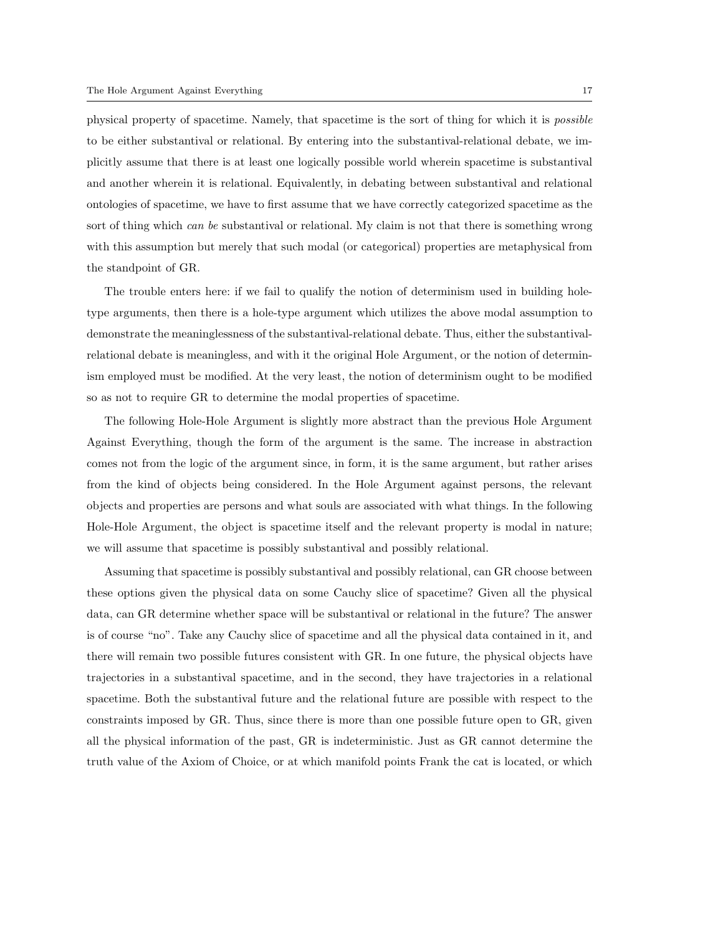physical property of spacetime. Namely, that spacetime is the sort of thing for which it is possible to be either substantival or relational. By entering into the substantival-relational debate, we implicitly assume that there is at least one logically possible world wherein spacetime is substantival and another wherein it is relational. Equivalently, in debating between substantival and relational ontologies of spacetime, we have to first assume that we have correctly categorized spacetime as the sort of thing which can be substantival or relational. My claim is not that there is something wrong with this assumption but merely that such modal (or categorical) properties are metaphysical from the standpoint of GR.

The trouble enters here: if we fail to qualify the notion of determinism used in building holetype arguments, then there is a hole-type argument which utilizes the above modal assumption to demonstrate the meaninglessness of the substantival-relational debate. Thus, either the substantivalrelational debate is meaningless, and with it the original Hole Argument, or the notion of determinism employed must be modified. At the very least, the notion of determinism ought to be modified so as not to require GR to determine the modal properties of spacetime.

The following Hole-Hole Argument is slightly more abstract than the previous Hole Argument Against Everything, though the form of the argument is the same. The increase in abstraction comes not from the logic of the argument since, in form, it is the same argument, but rather arises from the kind of objects being considered. In the Hole Argument against persons, the relevant objects and properties are persons and what souls are associated with what things. In the following Hole-Hole Argument, the object is spacetime itself and the relevant property is modal in nature; we will assume that spacetime is possibly substantival and possibly relational.

Assuming that spacetime is possibly substantival and possibly relational, can GR choose between these options given the physical data on some Cauchy slice of spacetime? Given all the physical data, can GR determine whether space will be substantival or relational in the future? The answer is of course "no". Take any Cauchy slice of spacetime and all the physical data contained in it, and there will remain two possible futures consistent with GR. In one future, the physical objects have trajectories in a substantival spacetime, and in the second, they have trajectories in a relational spacetime. Both the substantival future and the relational future are possible with respect to the constraints imposed by GR. Thus, since there is more than one possible future open to GR, given all the physical information of the past, GR is indeterministic. Just as GR cannot determine the truth value of the Axiom of Choice, or at which manifold points Frank the cat is located, or which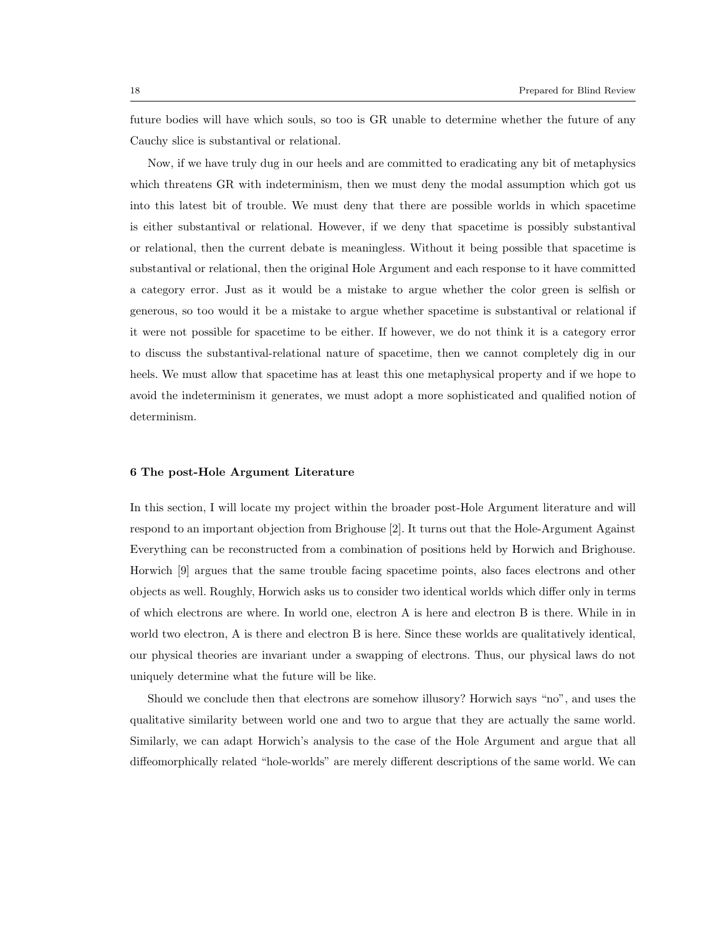future bodies will have which souls, so too is GR unable to determine whether the future of any Cauchy slice is substantival or relational.

Now, if we have truly dug in our heels and are committed to eradicating any bit of metaphysics which threatens GR with indeterminism, then we must deny the modal assumption which got us into this latest bit of trouble. We must deny that there are possible worlds in which spacetime is either substantival or relational. However, if we deny that spacetime is possibly substantival or relational, then the current debate is meaningless. Without it being possible that spacetime is substantival or relational, then the original Hole Argument and each response to it have committed a category error. Just as it would be a mistake to argue whether the color green is selfish or generous, so too would it be a mistake to argue whether spacetime is substantival or relational if it were not possible for spacetime to be either. If however, we do not think it is a category error to discuss the substantival-relational nature of spacetime, then we cannot completely dig in our heels. We must allow that spacetime has at least this one metaphysical property and if we hope to avoid the indeterminism it generates, we must adopt a more sophisticated and qualified notion of determinism.

## 6 The post-Hole Argument Literature

In this section, I will locate my project within the broader post-Hole Argument literature and will respond to an important objection from Brighouse [2]. It turns out that the Hole-Argument Against Everything can be reconstructed from a combination of positions held by Horwich and Brighouse. Horwich [9] argues that the same trouble facing spacetime points, also faces electrons and other objects as well. Roughly, Horwich asks us to consider two identical worlds which differ only in terms of which electrons are where. In world one, electron A is here and electron B is there. While in in world two electron, A is there and electron B is here. Since these worlds are qualitatively identical, our physical theories are invariant under a swapping of electrons. Thus, our physical laws do not uniquely determine what the future will be like.

Should we conclude then that electrons are somehow illusory? Horwich says "no", and uses the qualitative similarity between world one and two to argue that they are actually the same world. Similarly, we can adapt Horwich's analysis to the case of the Hole Argument and argue that all diffeomorphically related "hole-worlds" are merely different descriptions of the same world. We can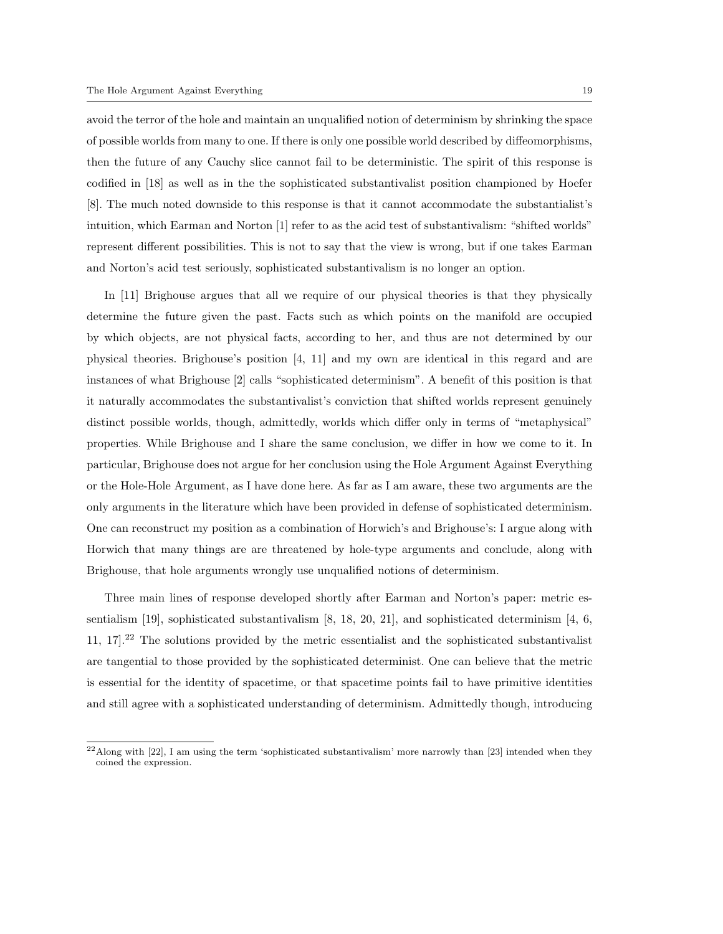avoid the terror of the hole and maintain an unqualified notion of determinism by shrinking the space of possible worlds from many to one. If there is only one possible world described by diffeomorphisms, then the future of any Cauchy slice cannot fail to be deterministic. The spirit of this response is codified in [18] as well as in the the sophisticated substantivalist position championed by Hoefer [8]. The much noted downside to this response is that it cannot accommodate the substantialist's intuition, which Earman and Norton [1] refer to as the acid test of substantivalism: "shifted worlds" represent different possibilities. This is not to say that the view is wrong, but if one takes Earman and Norton's acid test seriously, sophisticated substantivalism is no longer an option.

In [11] Brighouse argues that all we require of our physical theories is that they physically determine the future given the past. Facts such as which points on the manifold are occupied by which objects, are not physical facts, according to her, and thus are not determined by our physical theories. Brighouse's position [4, 11] and my own are identical in this regard and are instances of what Brighouse [2] calls "sophisticated determinism". A benefit of this position is that it naturally accommodates the substantivalist's conviction that shifted worlds represent genuinely distinct possible worlds, though, admittedly, worlds which differ only in terms of "metaphysical" properties. While Brighouse and I share the same conclusion, we differ in how we come to it. In particular, Brighouse does not argue for her conclusion using the Hole Argument Against Everything or the Hole-Hole Argument, as I have done here. As far as I am aware, these two arguments are the only arguments in the literature which have been provided in defense of sophisticated determinism. One can reconstruct my position as a combination of Horwich's and Brighouse's: I argue along with Horwich that many things are are threatened by hole-type arguments and conclude, along with Brighouse, that hole arguments wrongly use unqualified notions of determinism.

Three main lines of response developed shortly after Earman and Norton's paper: metric essentialism [19], sophisticated substantivalism [8, 18, 20, 21], and sophisticated determinism [4, 6, 11, 17].<sup>22</sup> The solutions provided by the metric essentialist and the sophisticated substantivalist are tangential to those provided by the sophisticated determinist. One can believe that the metric is essential for the identity of spacetime, or that spacetime points fail to have primitive identities and still agree with a sophisticated understanding of determinism. Admittedly though, introducing

 $^{22}$ Along with [22], I am using the term 'sophisticated substantivalism' more narrowly than [23] intended when they coined the expression.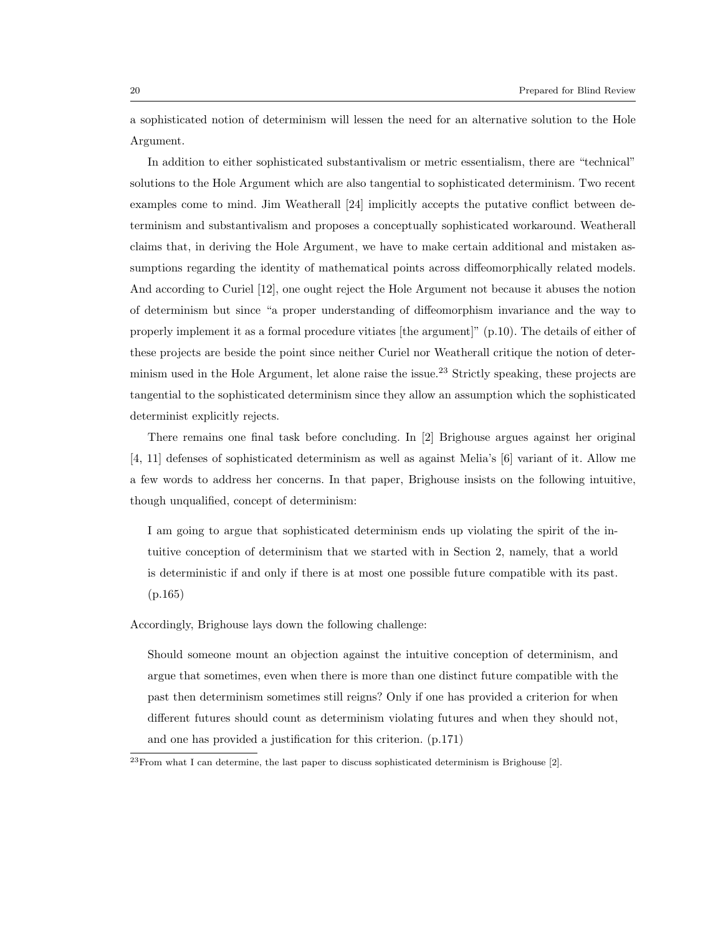a sophisticated notion of determinism will lessen the need for an alternative solution to the Hole Argument.

In addition to either sophisticated substantivalism or metric essentialism, there are "technical" solutions to the Hole Argument which are also tangential to sophisticated determinism. Two recent examples come to mind. Jim Weatherall [24] implicitly accepts the putative conflict between determinism and substantivalism and proposes a conceptually sophisticated workaround. Weatherall claims that, in deriving the Hole Argument, we have to make certain additional and mistaken assumptions regarding the identity of mathematical points across diffeomorphically related models. And according to Curiel [12], one ought reject the Hole Argument not because it abuses the notion of determinism but since "a proper understanding of diffeomorphism invariance and the way to properly implement it as a formal procedure vitiates [the argument]" (p.10). The details of either of these projects are beside the point since neither Curiel nor Weatherall critique the notion of determinism used in the Hole Argument, let alone raise the issue.<sup>23</sup> Strictly speaking, these projects are tangential to the sophisticated determinism since they allow an assumption which the sophisticated determinist explicitly rejects.

There remains one final task before concluding. In [2] Brighouse argues against her original [4, 11] defenses of sophisticated determinism as well as against Melia's [6] variant of it. Allow me a few words to address her concerns. In that paper, Brighouse insists on the following intuitive, though unqualified, concept of determinism:

I am going to argue that sophisticated determinism ends up violating the spirit of the intuitive conception of determinism that we started with in Section 2, namely, that a world is deterministic if and only if there is at most one possible future compatible with its past. (p.165)

Accordingly, Brighouse lays down the following challenge:

Should someone mount an objection against the intuitive conception of determinism, and argue that sometimes, even when there is more than one distinct future compatible with the past then determinism sometimes still reigns? Only if one has provided a criterion for when different futures should count as determinism violating futures and when they should not, and one has provided a justification for this criterion. (p.171)

 $^{23}$ From what I can determine, the last paper to discuss sophisticated determinism is Brighouse [2].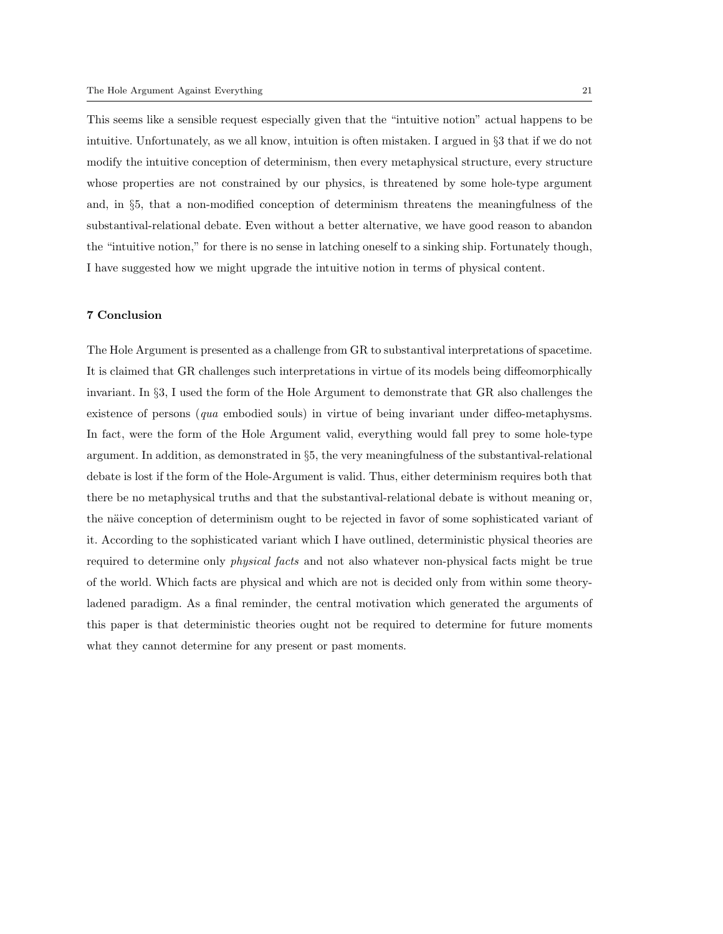This seems like a sensible request especially given that the "intuitive notion" actual happens to be intuitive. Unfortunately, as we all know, intuition is often mistaken. I argued in §3 that if we do not modify the intuitive conception of determinism, then every metaphysical structure, every structure whose properties are not constrained by our physics, is threatened by some hole-type argument and, in §5, that a non-modified conception of determinism threatens the meaningfulness of the substantival-relational debate. Even without a better alternative, we have good reason to abandon the "intuitive notion," for there is no sense in latching oneself to a sinking ship. Fortunately though, I have suggested how we might upgrade the intuitive notion in terms of physical content.

# 7 Conclusion

The Hole Argument is presented as a challenge from GR to substantival interpretations of spacetime. It is claimed that GR challenges such interpretations in virtue of its models being diffeomorphically invariant. In §3, I used the form of the Hole Argument to demonstrate that GR also challenges the existence of persons (qua embodied souls) in virtue of being invariant under diffeo-metaphysms. In fact, were the form of the Hole Argument valid, everything would fall prey to some hole-type argument. In addition, as demonstrated in §5, the very meaningfulness of the substantival-relational debate is lost if the form of the Hole-Argument is valid. Thus, either determinism requires both that there be no metaphysical truths and that the substantival-relational debate is without meaning or, the näive conception of determinism ought to be rejected in favor of some sophisticated variant of it. According to the sophisticated variant which I have outlined, deterministic physical theories are required to determine only physical facts and not also whatever non-physical facts might be true of the world. Which facts are physical and which are not is decided only from within some theoryladened paradigm. As a final reminder, the central motivation which generated the arguments of this paper is that deterministic theories ought not be required to determine for future moments what they cannot determine for any present or past moments.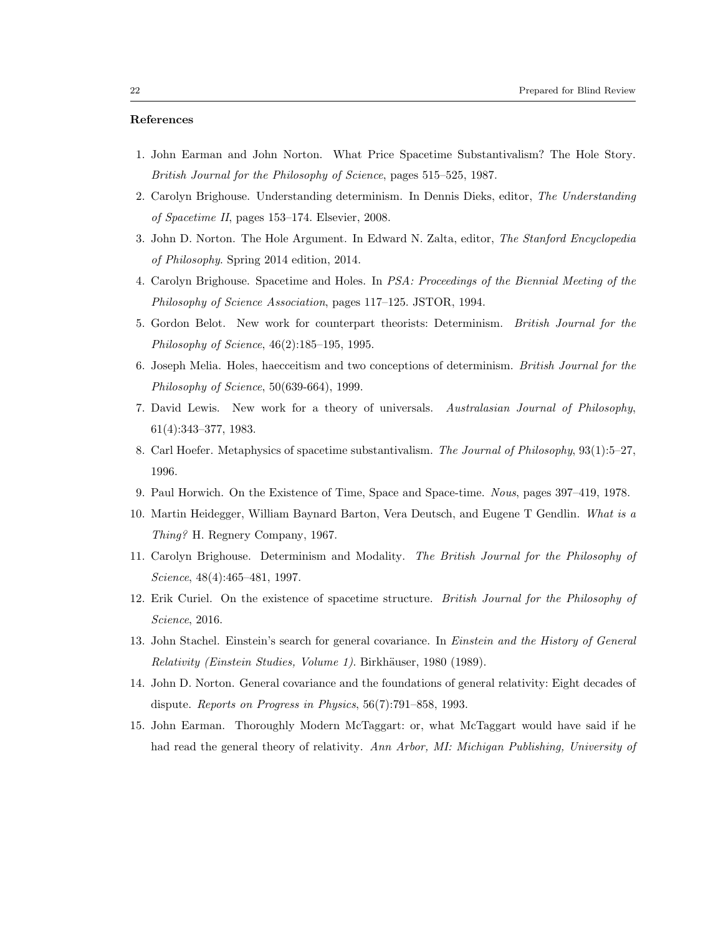## References

- 1. John Earman and John Norton. What Price Spacetime Substantivalism? The Hole Story. British Journal for the Philosophy of Science, pages 515–525, 1987.
- 2. Carolyn Brighouse. Understanding determinism. In Dennis Dieks, editor, The Understanding of Spacetime II, pages 153–174. Elsevier, 2008.
- 3. John D. Norton. The Hole Argument. In Edward N. Zalta, editor, The Stanford Encyclopedia of Philosophy. Spring 2014 edition, 2014.
- 4. Carolyn Brighouse. Spacetime and Holes. In PSA: Proceedings of the Biennial Meeting of the Philosophy of Science Association, pages 117–125. JSTOR, 1994.
- 5. Gordon Belot. New work for counterpart theorists: Determinism. British Journal for the Philosophy of Science, 46(2):185–195, 1995.
- 6. Joseph Melia. Holes, haecceitism and two conceptions of determinism. British Journal for the Philosophy of Science, 50(639-664), 1999.
- 7. David Lewis. New work for a theory of universals. Australasian Journal of Philosophy, 61(4):343–377, 1983.
- 8. Carl Hoefer. Metaphysics of spacetime substantivalism. The Journal of Philosophy, 93(1):5–27, 1996.
- 9. Paul Horwich. On the Existence of Time, Space and Space-time. Nous, pages 397–419, 1978.
- 10. Martin Heidegger, William Baynard Barton, Vera Deutsch, and Eugene T Gendlin. What is a Thing? H. Regnery Company, 1967.
- 11. Carolyn Brighouse. Determinism and Modality. The British Journal for the Philosophy of Science, 48(4):465–481, 1997.
- 12. Erik Curiel. On the existence of spacetime structure. British Journal for the Philosophy of Science, 2016.
- 13. John Stachel. Einstein's search for general covariance. In *Einstein and the History of General* Relativity (Einstein Studies, Volume 1). Birkhäuser, 1980 (1989).
- 14. John D. Norton. General covariance and the foundations of general relativity: Eight decades of dispute. Reports on Progress in Physics, 56(7):791–858, 1993.
- 15. John Earman. Thoroughly Modern McTaggart: or, what McTaggart would have said if he had read the general theory of relativity. Ann Arbor, MI: Michigan Publishing, University of